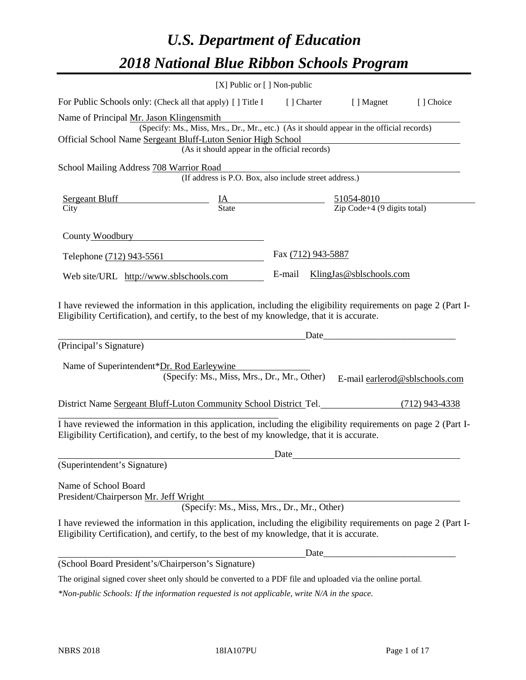# *U.S. Department of Education 2018 National Blue Ribbon Schools Program*

|                                                                                                                                                                                                                                                                                      | [X] Public or [] Non-public                                                                                                               |                    |                                                                                                                        |           |
|--------------------------------------------------------------------------------------------------------------------------------------------------------------------------------------------------------------------------------------------------------------------------------------|-------------------------------------------------------------------------------------------------------------------------------------------|--------------------|------------------------------------------------------------------------------------------------------------------------|-----------|
| For Public Schools only: (Check all that apply) [] Title I [] Charter [] Magnet                                                                                                                                                                                                      |                                                                                                                                           |                    |                                                                                                                        | [] Choice |
| Name of Principal Mr. Jason Klingensmith<br>Official School Name Sergeant Bluff-Luton Senior High School                                                                                                                                                                             | (Specify: Ms., Miss, Mrs., Dr., Mr., etc.) (As it should appear in the official records)<br>(As it should appear in the official records) |                    | <u> 1989 - Johann Stoff, deutscher Stoffen und der Stoffen und der Stoffen und der Stoffen und der Stoffen und der</u> |           |
| School Mailing Address 708 Warrior Road                                                                                                                                                                                                                                              | Trior Road<br>(If address is P.O. Box, also include street address.)                                                                      |                    |                                                                                                                        |           |
| $\frac{\text{Sergeant Bluff}}{\text{City}}$ $\frac{\text{IA}}{\text{State}}$ $\frac{51054-8010}{\text{Zip Code}+4 (9 \text{ digits total})}$                                                                                                                                         |                                                                                                                                           |                    |                                                                                                                        |           |
| County Woodbury <b>Example 2018</b>                                                                                                                                                                                                                                                  |                                                                                                                                           |                    |                                                                                                                        |           |
| Telephone (712) 943-5561                                                                                                                                                                                                                                                             |                                                                                                                                           | Fax (712) 943-5887 |                                                                                                                        |           |
| Web site/URL http://www.sblschools.com                                                                                                                                                                                                                                               |                                                                                                                                           |                    | E-mail KlingJas@sblschools.com                                                                                         |           |
| I have reviewed the information in this application, including the eligibility requirements on page 2 (Part I-<br>Eligibility Certification), and certify, to the best of my knowledge, that it is accurate.<br>(Principal's Signature)<br>Name of Superintendent*Dr. Rod Earleywine | (Specify: Ms., Miss, Mrs., Dr., Mr., Other)                                                                                               |                    | E-mail earlerod@sblschools.com                                                                                         |           |
| District Name Sergeant Bluff-Luton Community School District Tel. (712) 943-4338                                                                                                                                                                                                     |                                                                                                                                           |                    |                                                                                                                        |           |
| I have reviewed the information in this application, including the eligibility requirements on page 2 (Part I-<br>Eligibility Certification), and certify, to the best of my knowledge, that it is accurate.                                                                         |                                                                                                                                           | Date               |                                                                                                                        |           |
| (Superintendent's Signature)                                                                                                                                                                                                                                                         |                                                                                                                                           |                    |                                                                                                                        |           |
| Name of School Board<br>President/Chairperson Mr. Jeff Wright<br>I have reviewed the information in this application, including the eligibility requirements on page 2 (Part I-<br>Eligibility Certification), and certify, to the best of my knowledge, that it is accurate.        | (Specify: Ms., Miss, Mrs., Dr., Mr., Other)                                                                                               |                    |                                                                                                                        |           |
|                                                                                                                                                                                                                                                                                      |                                                                                                                                           |                    |                                                                                                                        |           |
| (School Board President's/Chairperson's Signature)                                                                                                                                                                                                                                   |                                                                                                                                           |                    |                                                                                                                        |           |

The original signed cover sheet only should be converted to a PDF file and uploaded via the online portal.

*\*Non-public Schools: If the information requested is not applicable, write N/A in the space.*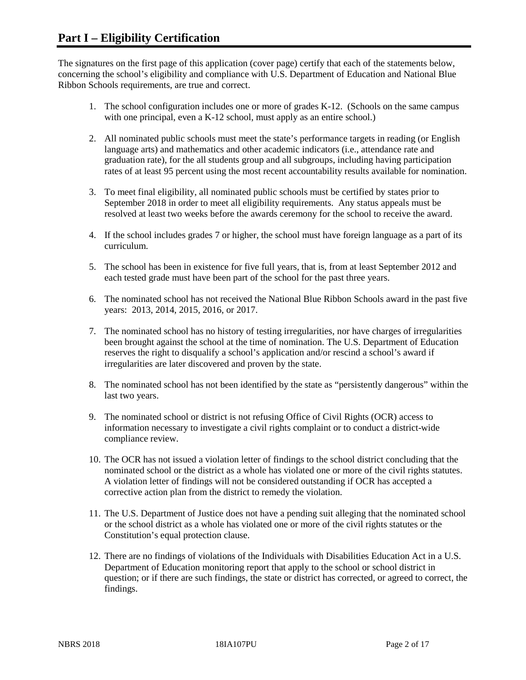The signatures on the first page of this application (cover page) certify that each of the statements below, concerning the school's eligibility and compliance with U.S. Department of Education and National Blue Ribbon Schools requirements, are true and correct.

- 1. The school configuration includes one or more of grades K-12. (Schools on the same campus with one principal, even a K-12 school, must apply as an entire school.)
- 2. All nominated public schools must meet the state's performance targets in reading (or English language arts) and mathematics and other academic indicators (i.e., attendance rate and graduation rate), for the all students group and all subgroups, including having participation rates of at least 95 percent using the most recent accountability results available for nomination.
- 3. To meet final eligibility, all nominated public schools must be certified by states prior to September 2018 in order to meet all eligibility requirements. Any status appeals must be resolved at least two weeks before the awards ceremony for the school to receive the award.
- 4. If the school includes grades 7 or higher, the school must have foreign language as a part of its curriculum.
- 5. The school has been in existence for five full years, that is, from at least September 2012 and each tested grade must have been part of the school for the past three years.
- 6. The nominated school has not received the National Blue Ribbon Schools award in the past five years: 2013, 2014, 2015, 2016, or 2017.
- 7. The nominated school has no history of testing irregularities, nor have charges of irregularities been brought against the school at the time of nomination. The U.S. Department of Education reserves the right to disqualify a school's application and/or rescind a school's award if irregularities are later discovered and proven by the state.
- 8. The nominated school has not been identified by the state as "persistently dangerous" within the last two years.
- 9. The nominated school or district is not refusing Office of Civil Rights (OCR) access to information necessary to investigate a civil rights complaint or to conduct a district-wide compliance review.
- 10. The OCR has not issued a violation letter of findings to the school district concluding that the nominated school or the district as a whole has violated one or more of the civil rights statutes. A violation letter of findings will not be considered outstanding if OCR has accepted a corrective action plan from the district to remedy the violation.
- 11. The U.S. Department of Justice does not have a pending suit alleging that the nominated school or the school district as a whole has violated one or more of the civil rights statutes or the Constitution's equal protection clause.
- 12. There are no findings of violations of the Individuals with Disabilities Education Act in a U.S. Department of Education monitoring report that apply to the school or school district in question; or if there are such findings, the state or district has corrected, or agreed to correct, the findings.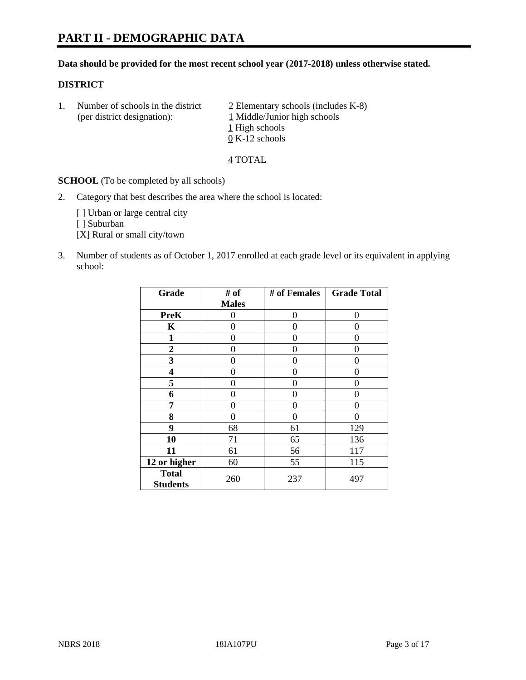#### **Data should be provided for the most recent school year (2017-2018) unless otherwise stated.**

#### **DISTRICT**

1. Number of schools in the district  $\frac{2}{2}$  Elementary schools (includes K-8) (per district designation): 1 Middle/Junior high schools 1 High schools 0 K-12 schools

4 TOTAL

**SCHOOL** (To be completed by all schools)

2. Category that best describes the area where the school is located:

[] Urban or large central city

[ ] Suburban

[X] Rural or small city/town

3. Number of students as of October 1, 2017 enrolled at each grade level or its equivalent in applying school:

| Grade                           | # of         | # of Females | <b>Grade Total</b> |
|---------------------------------|--------------|--------------|--------------------|
|                                 | <b>Males</b> |              |                    |
| <b>PreK</b>                     | 0            | 0            | 0                  |
| K                               | 0            | 0            | 0                  |
| $\mathbf{1}$                    | 0            | 0            | 0                  |
| 2                               | 0            | 0            | 0                  |
| 3                               | 0            | 0            | 0                  |
| 4                               | 0            | 0            | 0                  |
| 5                               | 0            | 0            | 0                  |
| 6                               | 0            | 0            | 0                  |
| 7                               | 0            | 0            | 0                  |
| 8                               | 0            | 0            | 0                  |
| 9                               | 68           | 61           | 129                |
| 10                              | 71           | 65           | 136                |
| 11                              | 61           | 56           | 117                |
| 12 or higher                    | 60           | 55           | 115                |
| <b>Total</b><br><b>Students</b> | 260          | 237          | 497                |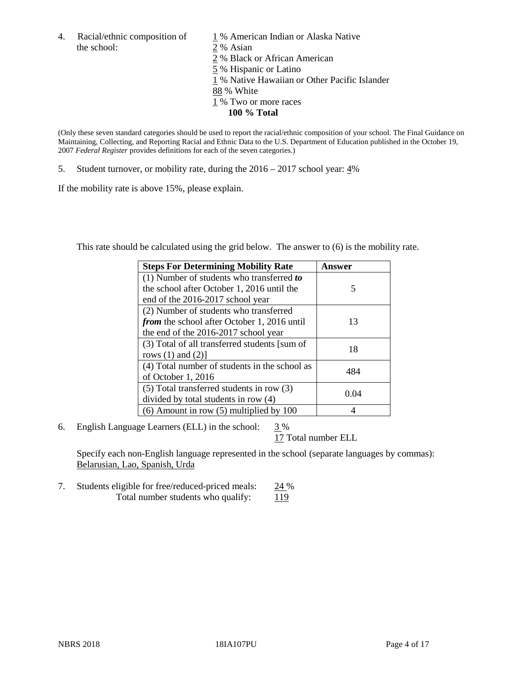4. Racial/ethnic composition of  $1\%$  American Indian or Alaska Native the school: 2 % Asian

 % Black or African American % Hispanic or Latino % Native Hawaiian or Other Pacific Islander 88 % White % Two or more races **100 % Total**

(Only these seven standard categories should be used to report the racial/ethnic composition of your school. The Final Guidance on Maintaining, Collecting, and Reporting Racial and Ethnic Data to the U.S. Department of Education published in the October 19, 2007 *Federal Register* provides definitions for each of the seven categories.)

5. Student turnover, or mobility rate, during the 2016 – 2017 school year: 4%

If the mobility rate is above 15%, please explain.

This rate should be calculated using the grid below. The answer to (6) is the mobility rate.

| <b>Steps For Determining Mobility Rate</b>         | Answer |
|----------------------------------------------------|--------|
| (1) Number of students who transferred to          |        |
| the school after October 1, 2016 until the         | 5      |
| end of the 2016-2017 school year                   |        |
| (2) Number of students who transferred             |        |
| <i>from</i> the school after October 1, 2016 until | 13     |
| the end of the 2016-2017 school year               |        |
| (3) Total of all transferred students [sum of      | 18     |
| rows $(1)$ and $(2)$ ]                             |        |
| (4) Total number of students in the school as      |        |
| of October 1, 2016                                 | 484    |
| $(5)$ Total transferred students in row $(3)$      |        |
| divided by total students in row (4)               | 0.04   |
| $(6)$ Amount in row $(5)$ multiplied by 100        |        |

6. English Language Learners (ELL) in the school:  $3\%$ 

17 Total number ELL

Specify each non-English language represented in the school (separate languages by commas): Belarusian, Lao, Spanish, Urda

7. Students eligible for free/reduced-priced meals: 24 % Total number students who qualify: 119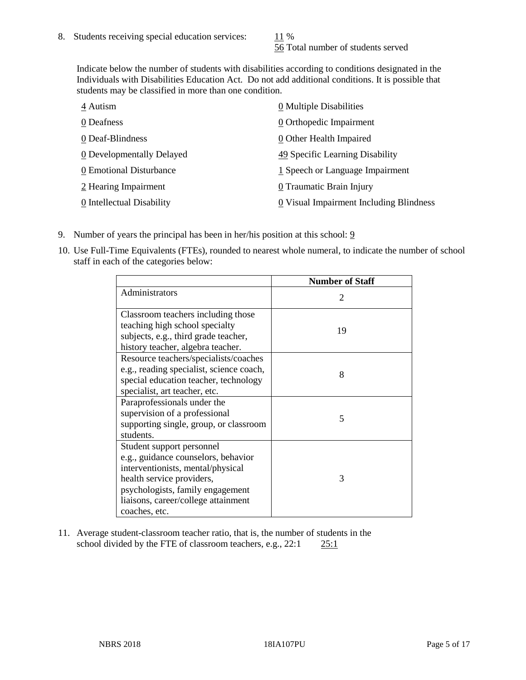56 Total number of students served

Indicate below the number of students with disabilities according to conditions designated in the Individuals with Disabilities Education Act. Do not add additional conditions. It is possible that students may be classified in more than one condition.

| 4 Autism                  | 0 Multiple Disabilities                 |
|---------------------------|-----------------------------------------|
| 0 Deafness                | 0 Orthopedic Impairment                 |
| 0 Deaf-Blindness          | 0 Other Health Impaired                 |
| 0 Developmentally Delayed | 49 Specific Learning Disability         |
| 0 Emotional Disturbance   | 1 Speech or Language Impairment         |
| 2 Hearing Impairment      | 0 Traumatic Brain Injury                |
| 0 Intellectual Disability | 0 Visual Impairment Including Blindness |

- 9. Number of years the principal has been in her/his position at this school:  $9$
- 10. Use Full-Time Equivalents (FTEs), rounded to nearest whole numeral, to indicate the number of school staff in each of the categories below:

|                                                                                                                                                                                                                                | <b>Number of Staff</b>      |
|--------------------------------------------------------------------------------------------------------------------------------------------------------------------------------------------------------------------------------|-----------------------------|
| Administrators                                                                                                                                                                                                                 | $\mathcal{D}_{\mathcal{L}}$ |
| Classroom teachers including those<br>teaching high school specialty<br>subjects, e.g., third grade teacher,<br>history teacher, algebra teacher.                                                                              | 19                          |
| Resource teachers/specialists/coaches<br>e.g., reading specialist, science coach,<br>special education teacher, technology<br>specialist, art teacher, etc.                                                                    | 8                           |
| Paraprofessionals under the<br>supervision of a professional<br>supporting single, group, or classroom<br>students.                                                                                                            | 5                           |
| Student support personnel<br>e.g., guidance counselors, behavior<br>interventionists, mental/physical<br>health service providers,<br>psychologists, family engagement<br>liaisons, career/college attainment<br>coaches, etc. | 3                           |

11. Average student-classroom teacher ratio, that is, the number of students in the school divided by the FTE of classroom teachers, e.g., 22:1 25:1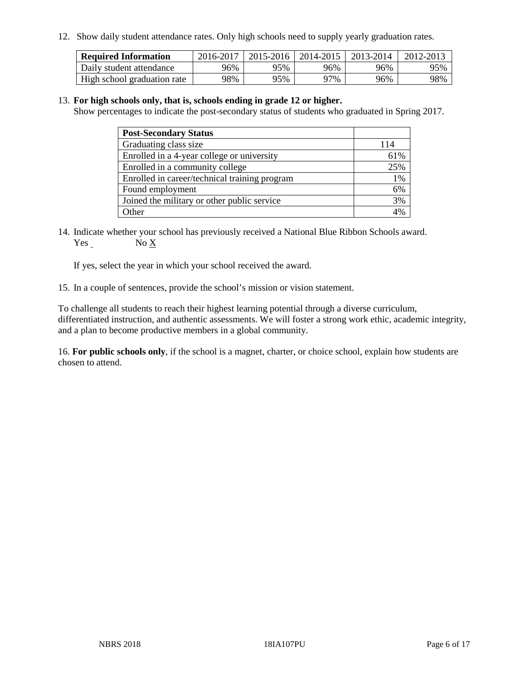12. Show daily student attendance rates. Only high schools need to supply yearly graduation rates.

| <b>Required Information</b> | 2016-2017 | $2015 - 2016$ | $2014 - 2015$ | 2013-2014 | 2012-2013 |
|-----------------------------|-----------|---------------|---------------|-----------|-----------|
| Daily student attendance    | 96%       | 95%           | 96%           | 96%       | 95%       |
| High school graduation rate | 98%       | 95%           | 97%           | 96%       | 98%       |

#### 13. **For high schools only, that is, schools ending in grade 12 or higher.**

Show percentages to indicate the post-secondary status of students who graduated in Spring 2017.

| <b>Post-Secondary Status</b>                  |     |
|-----------------------------------------------|-----|
| Graduating class size                         | 114 |
| Enrolled in a 4-year college or university    | 61% |
| Enrolled in a community college               | 25% |
| Enrolled in career/technical training program | 1%  |
| Found employment                              | 6%  |
| Joined the military or other public service   | 3%  |
| Other                                         |     |

14. Indicate whether your school has previously received a National Blue Ribbon Schools award. Yes No X

If yes, select the year in which your school received the award.

15. In a couple of sentences, provide the school's mission or vision statement.

To challenge all students to reach their highest learning potential through a diverse curriculum, differentiated instruction, and authentic assessments. We will foster a strong work ethic, academic integrity, and a plan to become productive members in a global community.

16. **For public schools only**, if the school is a magnet, charter, or choice school, explain how students are chosen to attend.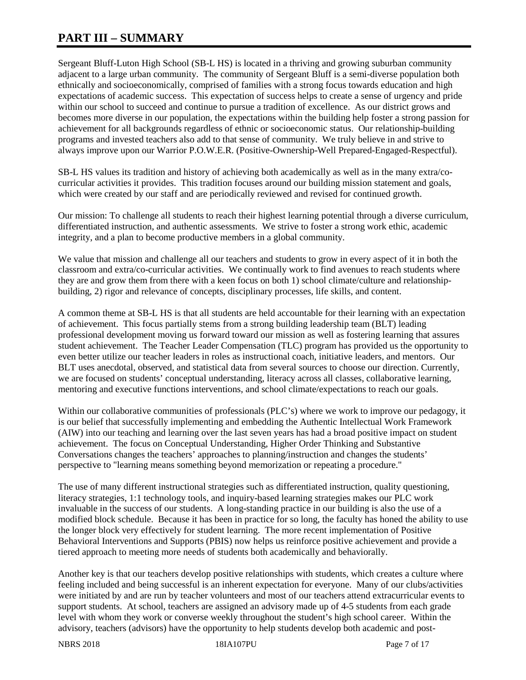# **PART III – SUMMARY**

Sergeant Bluff-Luton High School (SB-L HS) is located in a thriving and growing suburban community adjacent to a large urban community. The community of Sergeant Bluff is a semi-diverse population both ethnically and socioeconomically, comprised of families with a strong focus towards education and high expectations of academic success. This expectation of success helps to create a sense of urgency and pride within our school to succeed and continue to pursue a tradition of excellence. As our district grows and becomes more diverse in our population, the expectations within the building help foster a strong passion for achievement for all backgrounds regardless of ethnic or socioeconomic status. Our relationship-building programs and invested teachers also add to that sense of community. We truly believe in and strive to always improve upon our Warrior P.O.W.E.R. (Positive-Ownership-Well Prepared-Engaged-Respectful).

SB-L HS values its tradition and history of achieving both academically as well as in the many extra/cocurricular activities it provides. This tradition focuses around our building mission statement and goals, which were created by our staff and are periodically reviewed and revised for continued growth.

Our mission: To challenge all students to reach their highest learning potential through a diverse curriculum, differentiated instruction, and authentic assessments. We strive to foster a strong work ethic, academic integrity, and a plan to become productive members in a global community.

We value that mission and challenge all our teachers and students to grow in every aspect of it in both the classroom and extra/co-curricular activities. We continually work to find avenues to reach students where they are and grow them from there with a keen focus on both 1) school climate/culture and relationshipbuilding, 2) rigor and relevance of concepts, disciplinary processes, life skills, and content.

A common theme at SB-L HS is that all students are held accountable for their learning with an expectation of achievement. This focus partially stems from a strong building leadership team (BLT) leading professional development moving us forward toward our mission as well as fostering learning that assures student achievement. The Teacher Leader Compensation (TLC) program has provided us the opportunity to even better utilize our teacher leaders in roles as instructional coach, initiative leaders, and mentors. Our BLT uses anecdotal, observed, and statistical data from several sources to choose our direction. Currently, we are focused on students' conceptual understanding, literacy across all classes, collaborative learning, mentoring and executive functions interventions, and school climate/expectations to reach our goals.

Within our collaborative communities of professionals (PLC's) where we work to improve our pedagogy, it is our belief that successfully implementing and embedding the Authentic Intellectual Work Framework (AIW) into our teaching and learning over the last seven years has had a broad positive impact on student achievement. The focus on Conceptual Understanding, Higher Order Thinking and Substantive Conversations changes the teachers' approaches to planning/instruction and changes the students' perspective to "learning means something beyond memorization or repeating a procedure."

The use of many different instructional strategies such as differentiated instruction, quality questioning, literacy strategies, 1:1 technology tools, and inquiry-based learning strategies makes our PLC work invaluable in the success of our students. A long-standing practice in our building is also the use of a modified block schedule. Because it has been in practice for so long, the faculty has honed the ability to use the longer block very effectively for student learning. The more recent implementation of Positive Behavioral Interventions and Supports (PBIS) now helps us reinforce positive achievement and provide a tiered approach to meeting more needs of students both academically and behaviorally.

Another key is that our teachers develop positive relationships with students, which creates a culture where feeling included and being successful is an inherent expectation for everyone. Many of our clubs/activities were initiated by and are run by teacher volunteers and most of our teachers attend extracurricular events to support students. At school, teachers are assigned an advisory made up of 4-5 students from each grade level with whom they work or converse weekly throughout the student's high school career. Within the advisory, teachers (advisors) have the opportunity to help students develop both academic and post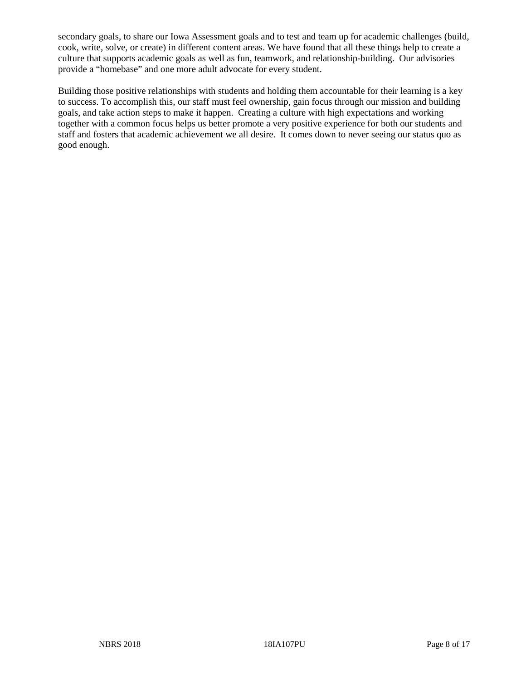secondary goals, to share our Iowa Assessment goals and to test and team up for academic challenges (build, cook, write, solve, or create) in different content areas. We have found that all these things help to create a culture that supports academic goals as well as fun, teamwork, and relationship-building. Our advisories provide a "homebase" and one more adult advocate for every student.

Building those positive relationships with students and holding them accountable for their learning is a key to success. To accomplish this, our staff must feel ownership, gain focus through our mission and building goals, and take action steps to make it happen. Creating a culture with high expectations and working together with a common focus helps us better promote a very positive experience for both our students and staff and fosters that academic achievement we all desire. It comes down to never seeing our status quo as good enough.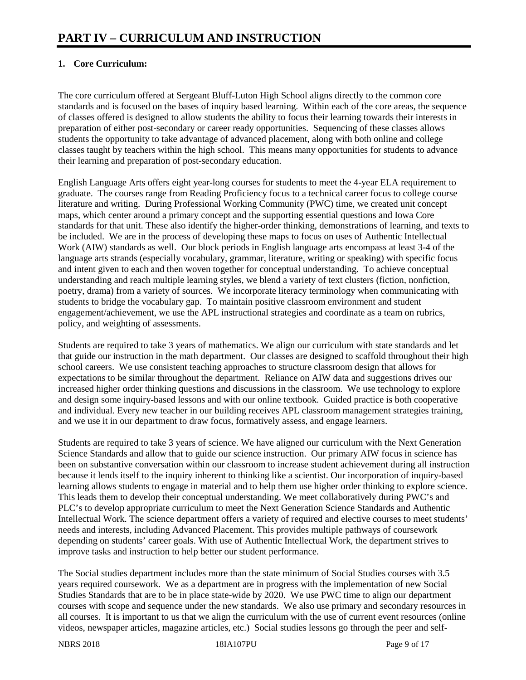# **1. Core Curriculum:**

The core curriculum offered at Sergeant Bluff-Luton High School aligns directly to the common core standards and is focused on the bases of inquiry based learning. Within each of the core areas, the sequence of classes offered is designed to allow students the ability to focus their learning towards their interests in preparation of either post-secondary or career ready opportunities. Sequencing of these classes allows students the opportunity to take advantage of advanced placement, along with both online and college classes taught by teachers within the high school. This means many opportunities for students to advance their learning and preparation of post-secondary education.

English Language Arts offers eight year-long courses for students to meet the 4-year ELA requirement to graduate. The courses range from Reading Proficiency focus to a technical career focus to college course literature and writing. During Professional Working Community (PWC) time, we created unit concept maps, which center around a primary concept and the supporting essential questions and Iowa Core standards for that unit. These also identify the higher-order thinking, demonstrations of learning, and texts to be included. We are in the process of developing these maps to focus on uses of Authentic Intellectual Work (AIW) standards as well. Our block periods in English language arts encompass at least 3-4 of the language arts strands (especially vocabulary, grammar, literature, writing or speaking) with specific focus and intent given to each and then woven together for conceptual understanding. To achieve conceptual understanding and reach multiple learning styles, we blend a variety of text clusters (fiction, nonfiction, poetry, drama) from a variety of sources. We incorporate literacy terminology when communicating with students to bridge the vocabulary gap. To maintain positive classroom environment and student engagement/achievement, we use the APL instructional strategies and coordinate as a team on rubrics, policy, and weighting of assessments.

Students are required to take 3 years of mathematics. We align our curriculum with state standards and let that guide our instruction in the math department. Our classes are designed to scaffold throughout their high school careers. We use consistent teaching approaches to structure classroom design that allows for expectations to be similar throughout the department. Reliance on AIW data and suggestions drives our increased higher order thinking questions and discussions in the classroom. We use technology to explore and design some inquiry-based lessons and with our online textbook. Guided practice is both cooperative and individual. Every new teacher in our building receives APL classroom management strategies training, and we use it in our department to draw focus, formatively assess, and engage learners.

Students are required to take 3 years of science. We have aligned our curriculum with the Next Generation Science Standards and allow that to guide our science instruction. Our primary AIW focus in science has been on substantive conversation within our classroom to increase student achievement during all instruction because it lends itself to the inquiry inherent to thinking like a scientist. Our incorporation of inquiry-based learning allows students to engage in material and to help them use higher order thinking to explore science. This leads them to develop their conceptual understanding. We meet collaboratively during PWC's and PLC's to develop appropriate curriculum to meet the Next Generation Science Standards and Authentic Intellectual Work. The science department offers a variety of required and elective courses to meet students' needs and interests, including Advanced Placement. This provides multiple pathways of coursework depending on students' career goals. With use of Authentic Intellectual Work, the department strives to improve tasks and instruction to help better our student performance.

The Social studies department includes more than the state minimum of Social Studies courses with 3.5 years required coursework. We as a department are in progress with the implementation of new Social Studies Standards that are to be in place state-wide by 2020. We use PWC time to align our department courses with scope and sequence under the new standards. We also use primary and secondary resources in all courses. It is important to us that we align the curriculum with the use of current event resources (online videos, newspaper articles, magazine articles, etc.) Social studies lessons go through the peer and self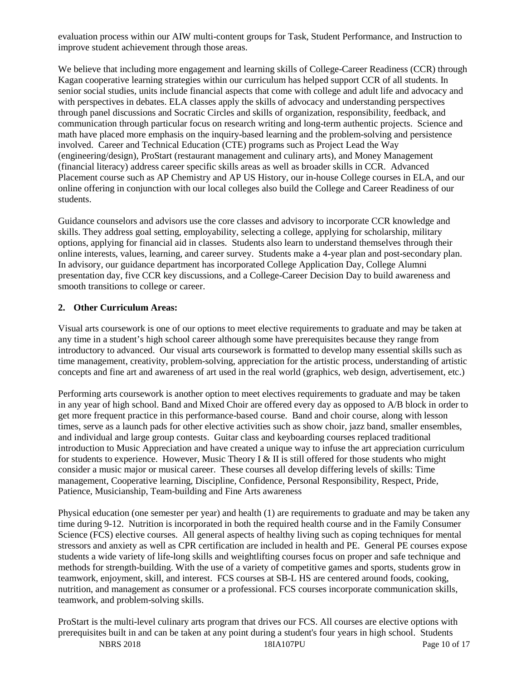evaluation process within our AIW multi-content groups for Task, Student Performance, and Instruction to improve student achievement through those areas.

We believe that including more engagement and learning skills of College-Career Readiness (CCR) through Kagan cooperative learning strategies within our curriculum has helped support CCR of all students. In senior social studies, units include financial aspects that come with college and adult life and advocacy and with perspectives in debates. ELA classes apply the skills of advocacy and understanding perspectives through panel discussions and Socratic Circles and skills of organization, responsibility, feedback, and communication through particular focus on research writing and long-term authentic projects. Science and math have placed more emphasis on the inquiry-based learning and the problem-solving and persistence involved. Career and Technical Education (CTE) programs such as Project Lead the Way (engineering/design), ProStart (restaurant management and culinary arts), and Money Management (financial literacy) address career specific skills areas as well as broader skills in CCR. Advanced Placement course such as AP Chemistry and AP US History, our in-house College courses in ELA, and our online offering in conjunction with our local colleges also build the College and Career Readiness of our students.

Guidance counselors and advisors use the core classes and advisory to incorporate CCR knowledge and skills. They address goal setting, employability, selecting a college, applying for scholarship, military options, applying for financial aid in classes. Students also learn to understand themselves through their online interests, values, learning, and career survey. Students make a 4-year plan and post-secondary plan. In advisory, our guidance department has incorporated College Application Day, College Alumni presentation day, five CCR key discussions, and a College-Career Decision Day to build awareness and smooth transitions to college or career.

#### **2. Other Curriculum Areas:**

Visual arts coursework is one of our options to meet elective requirements to graduate and may be taken at any time in a student's high school career although some have prerequisites because they range from introductory to advanced. Our visual arts coursework is formatted to develop many essential skills such as time management, creativity, problem-solving, appreciation for the artistic process, understanding of artistic concepts and fine art and awareness of art used in the real world (graphics, web design, advertisement, etc.)

Performing arts coursework is another option to meet electives requirements to graduate and may be taken in any year of high school. Band and Mixed Choir are offered every day as opposed to A/B block in order to get more frequent practice in this performance-based course. Band and choir course, along with lesson times, serve as a launch pads for other elective activities such as show choir, jazz band, smaller ensembles, and individual and large group contests. Guitar class and keyboarding courses replaced traditional introduction to Music Appreciation and have created a unique way to infuse the art appreciation curriculum for students to experience. However, Music Theory I & II is still offered for those students who might consider a music major or musical career. These courses all develop differing levels of skills: Time management, Cooperative learning, Discipline, Confidence, Personal Responsibility, Respect, Pride, Patience, Musicianship, Team-building and Fine Arts awareness

Physical education (one semester per year) and health (1) are requirements to graduate and may be taken any time during 9-12. Nutrition is incorporated in both the required health course and in the Family Consumer Science (FCS) elective courses. All general aspects of healthy living such as coping techniques for mental stressors and anxiety as well as CPR certification are included in health and PE. General PE courses expose students a wide variety of life-long skills and weightlifting courses focus on proper and safe technique and methods for strength-building. With the use of a variety of competitive games and sports, students grow in teamwork, enjoyment, skill, and interest. FCS courses at SB-L HS are centered around foods, cooking, nutrition, and management as consumer or a professional. FCS courses incorporate communication skills, teamwork, and problem-solving skills.

ProStart is the multi-level culinary arts program that drives our FCS. All courses are elective options with prerequisites built in and can be taken at any point during a student's four years in high school. Students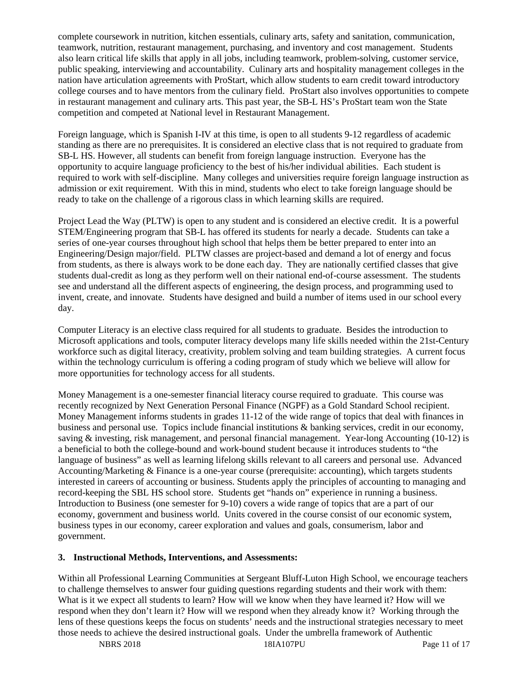complete coursework in nutrition, kitchen essentials, culinary arts, safety and sanitation, communication, teamwork, nutrition, restaurant management, purchasing, and inventory and cost management. Students also learn critical life skills that apply in all jobs, including teamwork, problem-solving, customer service, public speaking, interviewing and accountability. Culinary arts and hospitality management colleges in the nation have articulation agreements with ProStart, which allow students to earn credit toward introductory college courses and to have mentors from the culinary field. ProStart also involves opportunities to compete in restaurant management and culinary arts. This past year, the SB-L HS's ProStart team won the State competition and competed at National level in Restaurant Management.

Foreign language, which is Spanish I-IV at this time, is open to all students 9-12 regardless of academic standing as there are no prerequisites. It is considered an elective class that is not required to graduate from SB-L HS. However, all students can benefit from foreign language instruction. Everyone has the opportunity to acquire language proficiency to the best of his/her individual abilities. Each student is required to work with self-discipline. Many colleges and universities require foreign language instruction as admission or exit requirement. With this in mind, students who elect to take foreign language should be ready to take on the challenge of a rigorous class in which learning skills are required.

Project Lead the Way (PLTW) is open to any student and is considered an elective credit. It is a powerful STEM/Engineering program that SB-L has offered its students for nearly a decade. Students can take a series of one-year courses throughout high school that helps them be better prepared to enter into an Engineering/Design major/field. PLTW classes are project-based and demand a lot of energy and focus from students, as there is always work to be done each day. They are nationally certified classes that give students dual-credit as long as they perform well on their national end-of-course assessment. The students see and understand all the different aspects of engineering, the design process, and programming used to invent, create, and innovate. Students have designed and build a number of items used in our school every day.

Computer Literacy is an elective class required for all students to graduate. Besides the introduction to Microsoft applications and tools, computer literacy develops many life skills needed within the 21st-Century workforce such as digital literacy, creativity, problem solving and team building strategies. A current focus within the technology curriculum is offering a coding program of study which we believe will allow for more opportunities for technology access for all students.

Money Management is a one-semester financial literacy course required to graduate. This course was recently recognized by Next Generation Personal Finance (NGPF) as a Gold Standard School recipient. Money Management informs students in grades 11-12 of the wide range of topics that deal with finances in business and personal use. Topics include financial institutions & banking services, credit in our economy, saving & investing, risk management, and personal financial management. Year-long Accounting (10-12) is a beneficial to both the college-bound and work-bound student because it introduces students to "the language of business" as well as learning lifelong skills relevant to all careers and personal use. Advanced Accounting/Marketing & Finance is a one-year course (prerequisite: accounting), which targets students interested in careers of accounting or business. Students apply the principles of accounting to managing and record-keeping the SBL HS school store. Students get "hands on" experience in running a business. Introduction to Business (one semester for 9-10) covers a wide range of topics that are a part of our economy, government and business world. Units covered in the course consist of our economic system, business types in our economy, career exploration and values and goals, consumerism, labor and government.

#### **3. Instructional Methods, Interventions, and Assessments:**

Within all Professional Learning Communities at Sergeant Bluff-Luton High School, we encourage teachers to challenge themselves to answer four guiding questions regarding students and their work with them: What is it we expect all students to learn? How will we know when they have learned it? How will we respond when they don't learn it? How will we respond when they already know it? Working through the lens of these questions keeps the focus on students' needs and the instructional strategies necessary to meet those needs to achieve the desired instructional goals. Under the umbrella framework of Authentic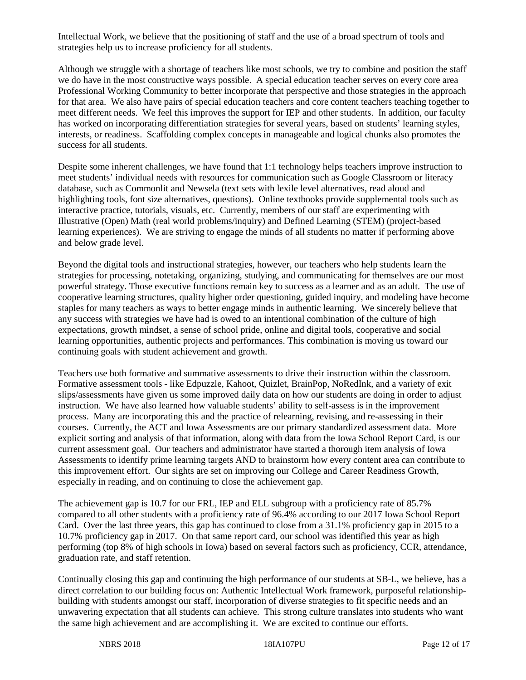Intellectual Work, we believe that the positioning of staff and the use of a broad spectrum of tools and strategies help us to increase proficiency for all students.

Although we struggle with a shortage of teachers like most schools, we try to combine and position the staff we do have in the most constructive ways possible. A special education teacher serves on every core area Professional Working Community to better incorporate that perspective and those strategies in the approach for that area. We also have pairs of special education teachers and core content teachers teaching together to meet different needs. We feel this improves the support for IEP and other students. In addition, our faculty has worked on incorporating differentiation strategies for several years, based on students' learning styles, interests, or readiness. Scaffolding complex concepts in manageable and logical chunks also promotes the success for all students.

Despite some inherent challenges, we have found that 1:1 technology helps teachers improve instruction to meet students' individual needs with resources for communication such as Google Classroom or literacy database, such as Commonlit and Newsela (text sets with lexile level alternatives, read aloud and highlighting tools, font size alternatives, questions). Online textbooks provide supplemental tools such as interactive practice, tutorials, visuals, etc. Currently, members of our staff are experimenting with Illustrative (Open) Math (real world problems/inquiry) and Defined Learning (STEM) (project-based learning experiences). We are striving to engage the minds of all students no matter if performing above and below grade level.

Beyond the digital tools and instructional strategies, however, our teachers who help students learn the strategies for processing, notetaking, organizing, studying, and communicating for themselves are our most powerful strategy. Those executive functions remain key to success as a learner and as an adult. The use of cooperative learning structures, quality higher order questioning, guided inquiry, and modeling have become staples for many teachers as ways to better engage minds in authentic learning. We sincerely believe that any success with strategies we have had is owed to an intentional combination of the culture of high expectations, growth mindset, a sense of school pride, online and digital tools, cooperative and social learning opportunities, authentic projects and performances. This combination is moving us toward our continuing goals with student achievement and growth.

Teachers use both formative and summative assessments to drive their instruction within the classroom. Formative assessment tools - like Edpuzzle, Kahoot, Quizlet, BrainPop, NoRedInk, and a variety of exit slips/assessments have given us some improved daily data on how our students are doing in order to adjust instruction. We have also learned how valuable students' ability to self-assess is in the improvement process. Many are incorporating this and the practice of relearning, revising, and re-assessing in their courses. Currently, the ACT and Iowa Assessments are our primary standardized assessment data. More explicit sorting and analysis of that information, along with data from the Iowa School Report Card, is our current assessment goal. Our teachers and administrator have started a thorough item analysis of Iowa Assessments to identify prime learning targets AND to brainstorm how every content area can contribute to this improvement effort. Our sights are set on improving our College and Career Readiness Growth, especially in reading, and on continuing to close the achievement gap.

The achievement gap is 10.7 for our FRL, IEP and ELL subgroup with a proficiency rate of 85.7% compared to all other students with a proficiency rate of 96.4% according to our 2017 Iowa School Report Card. Over the last three years, this gap has continued to close from a 31.1% proficiency gap in 2015 to a 10.7% proficiency gap in 2017. On that same report card, our school was identified this year as high performing (top 8% of high schools in Iowa) based on several factors such as proficiency, CCR, attendance, graduation rate, and staff retention.

Continually closing this gap and continuing the high performance of our students at SB-L, we believe, has a direct correlation to our building focus on: Authentic Intellectual Work framework, purposeful relationshipbuilding with students amongst our staff, incorporation of diverse strategies to fit specific needs and an unwavering expectation that all students can achieve. This strong culture translates into students who want the same high achievement and are accomplishing it. We are excited to continue our efforts.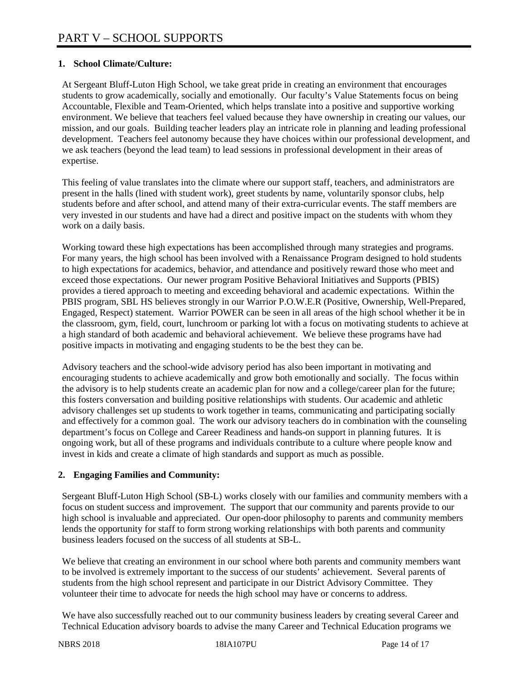# **1. School Climate/Culture:**

At Sergeant Bluff-Luton High School, we take great pride in creating an environment that encourages students to grow academically, socially and emotionally. Our faculty's Value Statements focus on being Accountable, Flexible and Team-Oriented, which helps translate into a positive and supportive working environment. We believe that teachers feel valued because they have ownership in creating our values, our mission, and our goals. Building teacher leaders play an intricate role in planning and leading professional development. Teachers feel autonomy because they have choices within our professional development, and we ask teachers (beyond the lead team) to lead sessions in professional development in their areas of expertise.

This feeling of value translates into the climate where our support staff, teachers, and administrators are present in the halls (lined with student work), greet students by name, voluntarily sponsor clubs, help students before and after school, and attend many of their extra-curricular events. The staff members are very invested in our students and have had a direct and positive impact on the students with whom they work on a daily basis.

Working toward these high expectations has been accomplished through many strategies and programs. For many years, the high school has been involved with a Renaissance Program designed to hold students to high expectations for academics, behavior, and attendance and positively reward those who meet and exceed those expectations. Our newer program Positive Behavioral Initiatives and Supports (PBIS) provides a tiered approach to meeting and exceeding behavioral and academic expectations. Within the PBIS program, SBL HS believes strongly in our Warrior P.O.W.E.R (Positive, Ownership, Well-Prepared, Engaged, Respect) statement. Warrior POWER can be seen in all areas of the high school whether it be in the classroom, gym, field, court, lunchroom or parking lot with a focus on motivating students to achieve at a high standard of both academic and behavioral achievement. We believe these programs have had positive impacts in motivating and engaging students to be the best they can be.

Advisory teachers and the school-wide advisory period has also been important in motivating and encouraging students to achieve academically and grow both emotionally and socially. The focus within the advisory is to help students create an academic plan for now and a college/career plan for the future; this fosters conversation and building positive relationships with students. Our academic and athletic advisory challenges set up students to work together in teams, communicating and participating socially and effectively for a common goal. The work our advisory teachers do in combination with the counseling department's focus on College and Career Readiness and hands-on support in planning futures. It is ongoing work, but all of these programs and individuals contribute to a culture where people know and invest in kids and create a climate of high standards and support as much as possible.

## **2. Engaging Families and Community:**

Sergeant Bluff-Luton High School (SB-L) works closely with our families and community members with a focus on student success and improvement. The support that our community and parents provide to our high school is invaluable and appreciated. Our open-door philosophy to parents and community members lends the opportunity for staff to form strong working relationships with both parents and community business leaders focused on the success of all students at SB-L.

We believe that creating an environment in our school where both parents and community members want to be involved is extremely important to the success of our students' achievement. Several parents of students from the high school represent and participate in our District Advisory Committee. They volunteer their time to advocate for needs the high school may have or concerns to address.

We have also successfully reached out to our community business leaders by creating several Career and Technical Education advisory boards to advise the many Career and Technical Education programs we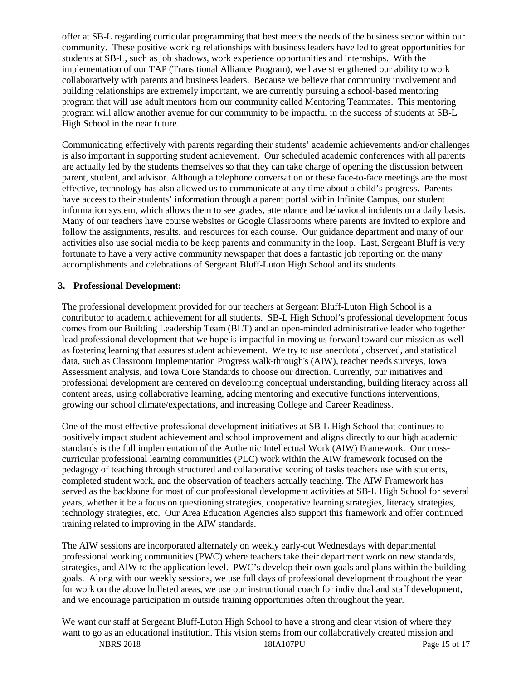offer at SB-L regarding curricular programming that best meets the needs of the business sector within our community. These positive working relationships with business leaders have led to great opportunities for students at SB-L, such as job shadows, work experience opportunities and internships. With the implementation of our TAP (Transitional Alliance Program), we have strengthened our ability to work collaboratively with parents and business leaders. Because we believe that community involvement and building relationships are extremely important, we are currently pursuing a school-based mentoring program that will use adult mentors from our community called Mentoring Teammates. This mentoring program will allow another avenue for our community to be impactful in the success of students at SB-L High School in the near future.

Communicating effectively with parents regarding their students' academic achievements and/or challenges is also important in supporting student achievement. Our scheduled academic conferences with all parents are actually led by the students themselves so that they can take charge of opening the discussion between parent, student, and advisor. Although a telephone conversation or these face-to-face meetings are the most effective, technology has also allowed us to communicate at any time about a child's progress. Parents have access to their students' information through a parent portal within Infinite Campus, our student information system, which allows them to see grades, attendance and behavioral incidents on a daily basis. Many of our teachers have course websites or Google Classrooms where parents are invited to explore and follow the assignments, results, and resources for each course. Our guidance department and many of our activities also use social media to be keep parents and community in the loop. Last, Sergeant Bluff is very fortunate to have a very active community newspaper that does a fantastic job reporting on the many accomplishments and celebrations of Sergeant Bluff-Luton High School and its students.

## **3. Professional Development:**

The professional development provided for our teachers at Sergeant Bluff-Luton High School is a contributor to academic achievement for all students. SB-L High School's professional development focus comes from our Building Leadership Team (BLT) and an open-minded administrative leader who together lead professional development that we hope is impactful in moving us forward toward our mission as well as fostering learning that assures student achievement. We try to use anecdotal, observed, and statistical data, such as Classroom Implementation Progress walk-through's (AIW), teacher needs surveys, Iowa Assessment analysis, and Iowa Core Standards to choose our direction. Currently, our initiatives and professional development are centered on developing conceptual understanding, building literacy across all content areas, using collaborative learning, adding mentoring and executive functions interventions, growing our school climate/expectations, and increasing College and Career Readiness.

One of the most effective professional development initiatives at SB-L High School that continues to positively impact student achievement and school improvement and aligns directly to our high academic standards is the full implementation of the Authentic Intellectual Work (AIW) Framework. Our crosscurricular professional learning communities (PLC) work within the AIW framework focused on the pedagogy of teaching through structured and collaborative scoring of tasks teachers use with students, completed student work, and the observation of teachers actually teaching. The AIW Framework has served as the backbone for most of our professional development activities at SB-L High School for several years, whether it be a focus on questioning strategies, cooperative learning strategies, literacy strategies, technology strategies, etc. Our Area Education Agencies also support this framework and offer continued training related to improving in the AIW standards.

The AIW sessions are incorporated alternately on weekly early-out Wednesdays with departmental professional working communities (PWC) where teachers take their department work on new standards, strategies, and AIW to the application level. PWC's develop their own goals and plans within the building goals. Along with our weekly sessions, we use full days of professional development throughout the year for work on the above bulleted areas, we use our instructional coach for individual and staff development, and we encourage participation in outside training opportunities often throughout the year.

We want our staff at Sergeant Bluff-Luton High School to have a strong and clear vision of where they want to go as an educational institution. This vision stems from our collaboratively created mission and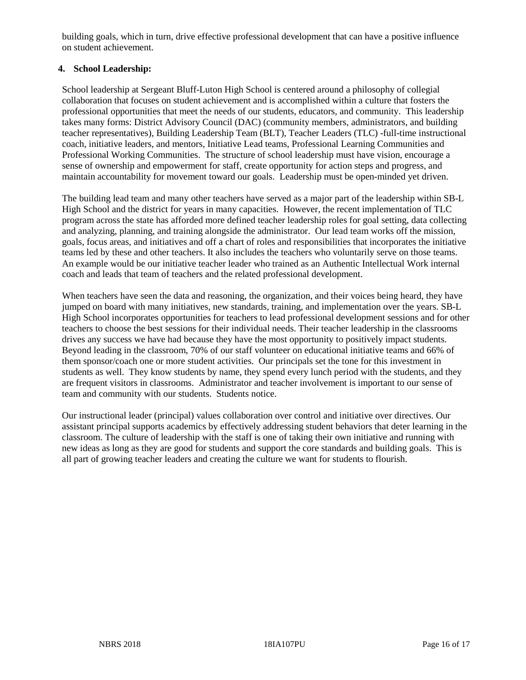building goals, which in turn, drive effective professional development that can have a positive influence on student achievement.

## **4. School Leadership:**

School leadership at Sergeant Bluff-Luton High School is centered around a philosophy of collegial collaboration that focuses on student achievement and is accomplished within a culture that fosters the professional opportunities that meet the needs of our students, educators, and community. This leadership takes many forms: District Advisory Council (DAC) (community members, administrators, and building teacher representatives), Building Leadership Team (BLT), Teacher Leaders (TLC) -full-time instructional coach, initiative leaders, and mentors, Initiative Lead teams, Professional Learning Communities and Professional Working Communities. The structure of school leadership must have vision, encourage a sense of ownership and empowerment for staff, create opportunity for action steps and progress, and maintain accountability for movement toward our goals. Leadership must be open-minded yet driven.

The building lead team and many other teachers have served as a major part of the leadership within SB-L High School and the district for years in many capacities. However, the recent implementation of TLC program across the state has afforded more defined teacher leadership roles for goal setting, data collecting and analyzing, planning, and training alongside the administrator. Our lead team works off the mission, goals, focus areas, and initiatives and off a chart of roles and responsibilities that incorporates the initiative teams led by these and other teachers. It also includes the teachers who voluntarily serve on those teams. An example would be our initiative teacher leader who trained as an Authentic Intellectual Work internal coach and leads that team of teachers and the related professional development.

When teachers have seen the data and reasoning, the organization, and their voices being heard, they have jumped on board with many initiatives, new standards, training, and implementation over the years. SB-L High School incorporates opportunities for teachers to lead professional development sessions and for other teachers to choose the best sessions for their individual needs. Their teacher leadership in the classrooms drives any success we have had because they have the most opportunity to positively impact students. Beyond leading in the classroom, 70% of our staff volunteer on educational initiative teams and 66% of them sponsor/coach one or more student activities. Our principals set the tone for this investment in students as well. They know students by name, they spend every lunch period with the students, and they are frequent visitors in classrooms. Administrator and teacher involvement is important to our sense of team and community with our students. Students notice.

Our instructional leader (principal) values collaboration over control and initiative over directives. Our assistant principal supports academics by effectively addressing student behaviors that deter learning in the classroom. The culture of leadership with the staff is one of taking their own initiative and running with new ideas as long as they are good for students and support the core standards and building goals. This is all part of growing teacher leaders and creating the culture we want for students to flourish.